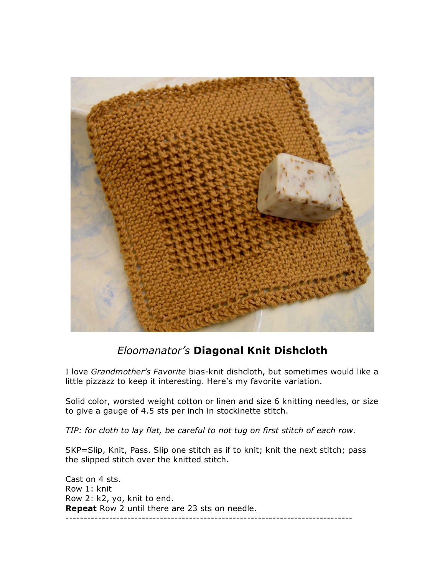

## *Eloomanator's* **Diagonal Knit Dishcloth**

I love *Grandmother's Favorite* bias-knit dishcloth, but sometimes would like a little pizzazz to keep it interesting. Here's my favorite variation.

Solid color, worsted weight cotton or linen and size 6 knitting needles, or size to give a gauge of 4.5 sts per inch in stockinette stitch.

*TIP: for cloth to lay flat, be careful to not tug on first stitch of each row.* 

SKP=Slip, Knit, Pass. Slip one stitch as if to knit; knit the next stitch; pass the slipped stitch over the knitted stitch.

Cast on 4 sts. Row 1: knit Row 2: k2, yo, knit to end. **Repeat** Row 2 until there are 23 sts on needle. -------------------------------------------------------------------------------